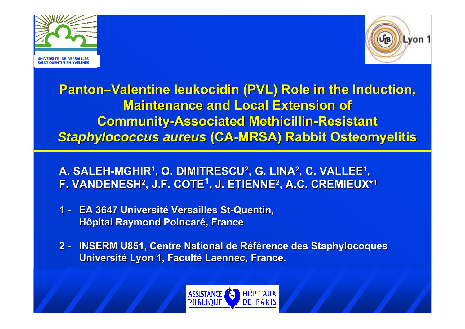



**Panton–Valentine leukocidin (PVL) Role in the Induction, Maintenance and Local Extension of Community-Associated Methicillin-Resistant Staphylococcus aureus (CA-MRSA) Rabbit Osteomyelitis** 

**A. SALEH A. SALEH-MGHIR1, O. DIMITRESCU , O. DIMITRESCU2, G. LINA , G. LINA2, C. VALLEE , C. VALLEE1, F. VANDENESH F. VANDENESH2, J.F. COTE , J.F. COTE1, J. ETIENNE , J. ETIENNE2, A.C. CREMIEUX\* , A.C. CREMIEUX\*<sup>1</sup>**

- **1 - EA 3647 Universit EA 3647 Université Versailles St Versailles St-Quentin, Quentin, Hôpital Raymond Poincar Hôpital Raymond Poincaré, France , France**
- 2 **INSERM U851, Centre National de Référence des Staphylocoques Universit Université Lyon 1, Facult Lyon 1, Faculté Laennec, France. Laennec, France.**

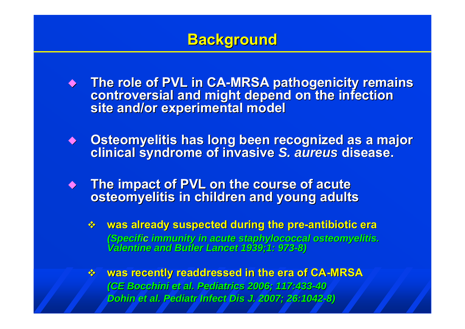## **Background Background**

- ◆ The role of PVL in CA-MRSA pathogenicity remains<br>controversial and might depend on the infection<br>site and/or experimental model
- $\blacklozenge$ Osteomyelitis has long been recognized as a major<br>clinical syndrome of invasive S. aureus disease.
- $\blacklozenge$ **The impact of PVL on the course of acute osteomyelitis in children and young adults osteomyelitis in children and young adults**
	- $\frac{1}{2}$  **was already suspected during the pre was already suspected during the pre-antibiotic era antibiotic era** *(Specifi (Specificimmunity in acute staphylococcal osteomyelitis. immunity in acute staphylococcal osteomyelitis. Valentine and Butler Lancet 1939;1: 973 Valentine and Butler Lancet 1939;1: 973-8)*
	- **BA was recently readdressed in the era of CA was recently readdressed in the era of CA-MRSA** *(CE Bocchini et al. Pediatrics 2006; 117:433 (CE Bocchini et al. Pediatrics 2006; 117:433-40 Dohin et al. Pediatr Infect Dis J. 2007; 26:1042 Dohin et al. Pediatr Infect Dis J. 2007; 26:1042-8)*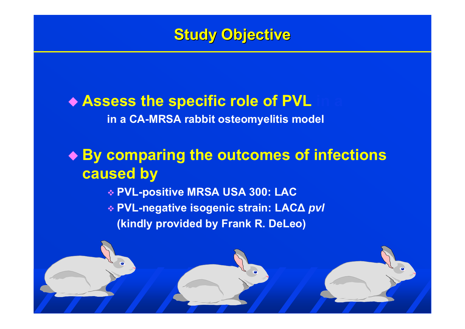### **Study Objective Study Objective**

# **Assess the specific role of PVL in a**

**in a CA-MRSA rabbit osteomyelitis model**

## **By comparing the outcomes of infections caused by**

 **PVL-positive MRSA USA 300: LAC PVL-negative isogenic strain: LAC Δ** *pvl* **(kindly provided by Frank R. DeLeo)**

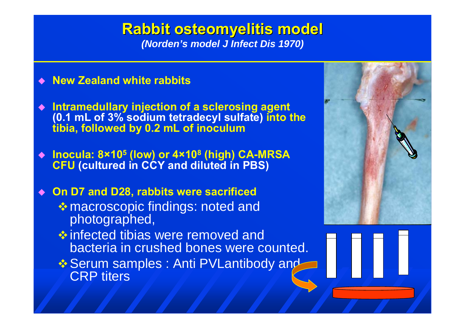#### **Rabbit osteomyelitis model Rabbit osteomyelitis model** *(Norden's model J Infect Dis 1970)*

**New Zealand white rabbits**

- **Intramedullary injection of a sclerosing agent (0.1 mL of 3% sodium tetradecyl sulfate) into the tibia, followed by 0.2 mL of inoculum**
- ◆ Inocula: 8×10<sup>5</sup> (low) or 4×10<sup>8</sup> (high) CA-MRSA **CFU (cultured in CCY and diluted in PBS)**

**On D7 and D28, rabbits were sacrificed**

- **Invertory** macroscopic findings: noted and photographed,
- infected tibias were removed and bacteria in crushed bones were counted.
- ❖ Serum samples : Anti PVLantibody and CRP titers

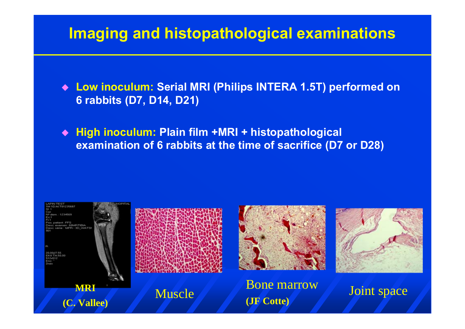### **Imaging and histopathological examinations**

 **Low inoculum: Serial MRI (Philips INTERA 1.5T) performed on 6 rabbits (D7, D14, D21)**

 **High inoculum: Plain film +MRI + histopathological examination of 6 rabbits at the time of sacrifice (D7 or D28)**

Muscle







Bone marrow**(JF Cotte)** Joint space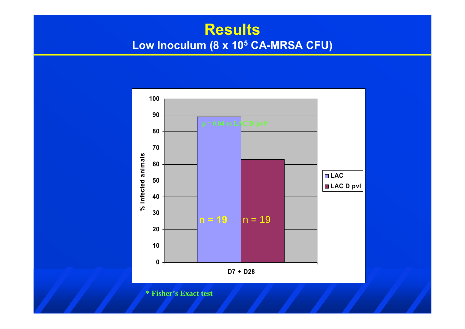### **Results Low Inoculum (8 x 105 CA-MRSA CFU)**



**\* Fisher's Exact test**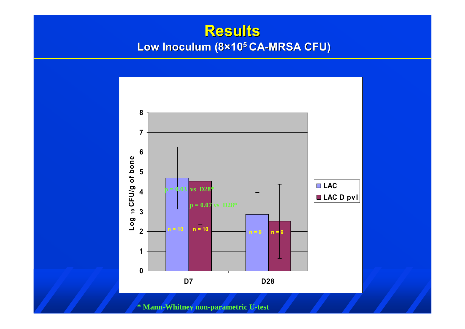#### **Results Results Low Inoculum (8×10<sup>5</sup> CA-MRSA CFU)**



**\* Mann-Whitney non-parametric U-test**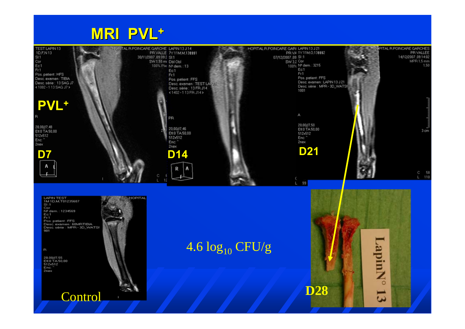### **MRI PVL MRI PVL+**



SI:1 N<sup>#</sup> dem.: 1234569  $\frac{E}{E}$ c:1 r:.<br>Pos. patient : FFS<br>Desc. examen : 68MRTIBIA<br>Desc. série : MPR - 3D\_WATSf 901

20.00//7.55<br>Etl:0 TA:50.00<br>512x512 Enc: 2nex

 $\overline{a}$ 



 $4.6 \log_{10} CFU/g$ 

Nuide

 $\overline{O}$ 

ىن

Control **D28**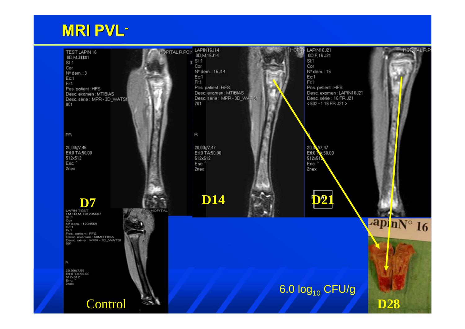#### **MRI PVL MRI PVL-**

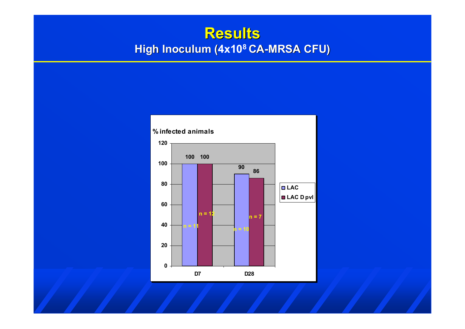#### **Results Results High Inoculum (4x10<sup>8</sup> CA-MRSA CFU)**

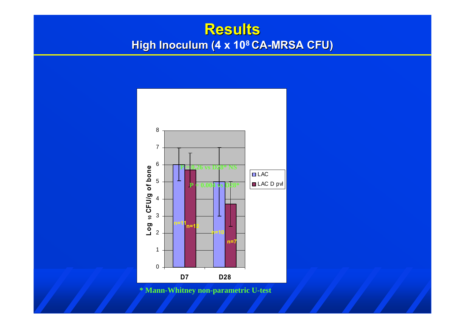#### **Results Results High Inoculum (4 x 10<sup>8</sup> CA-MRSA CFU)**



**\* Mann-Whitney non-parametric U-test**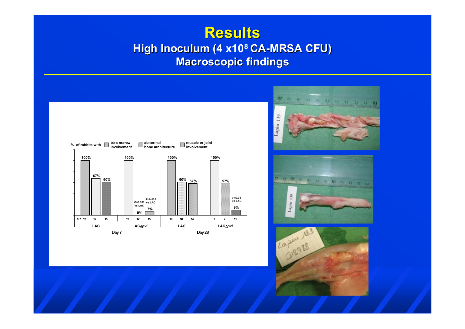#### **Results Results High Inoculum (4 x10<sup>8</sup> CA-MRSA CFU) Macroscopic findings Macroscopic findings**



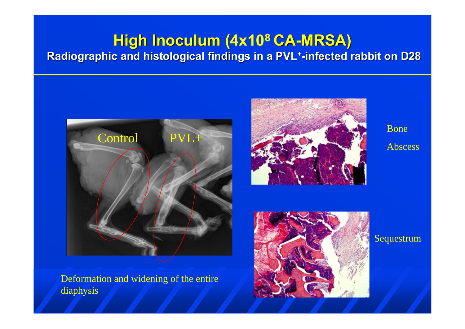### **High Inoculum (4x10<sup>8</sup> CA-MRSA) Radiographic and histological findings in a PVL<sup>+</sup>-infected rabbit on D28**



Deformation and widening of the entire diaphysis



#### BoneAbscess



#### Sequestrum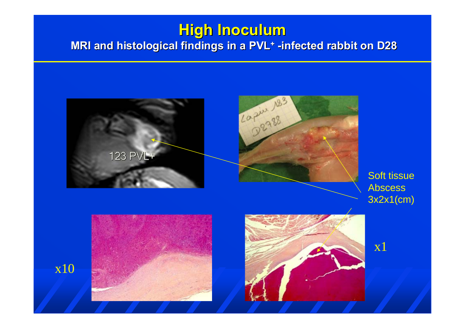### **High Inoculum**

#### **MRI and histological findings in a PVL<sup>+</sup> -infected rabbit on D28**

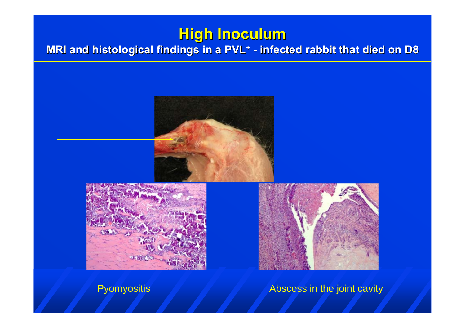## **High Inoculum**

#### **MRI and histological findings in a PVL<sup>+</sup> - infected rabbit that died on D8**





Pyomyositis Abscess in the joint cavity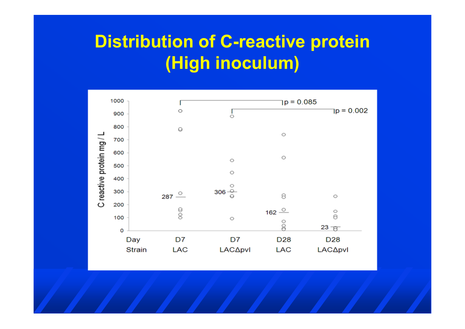# **Distribution of C-reactive protein (High inoculum)**

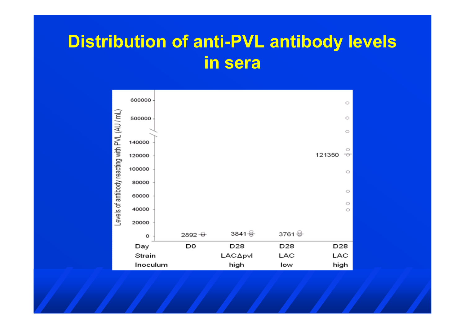# **Distribution of anti-PVL antibody levels in sera**